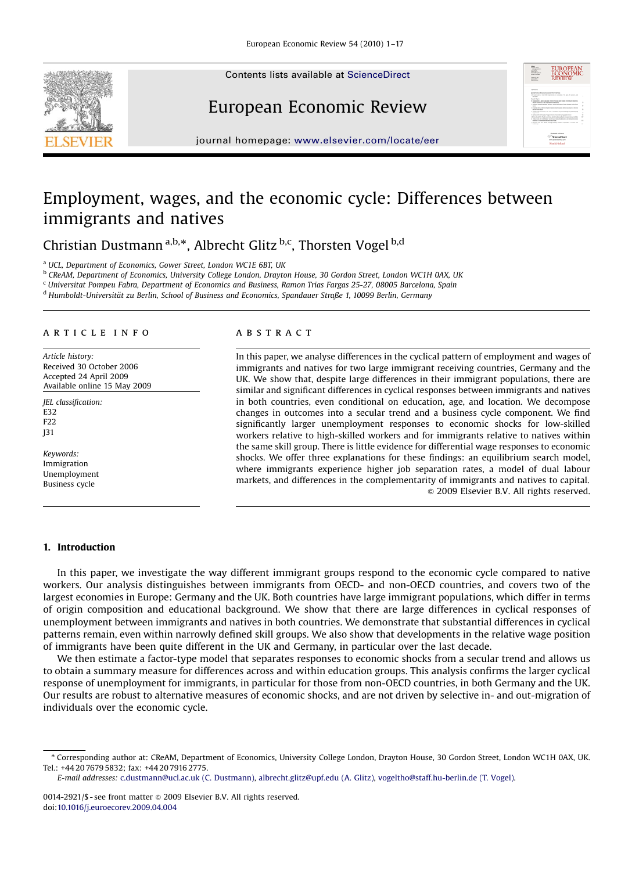Contents lists available at [ScienceDirect](www.sciencedirect.com/science/journal/eer)





European Economic Review

journal homepage: <www.elsevier.com/locate/eer>

# Employment, wages, and the economic cycle: Differences between immigrants and natives

Christian Dustmann<sup>a,b,\*</sup>, Albrecht Glitz <sup>b,c</sup>, Thorsten Vogel <sup>b,d</sup>

<sup>a</sup> UCL, Department of Economics, Gower Street, London WC1E 6BT, UK

<sup>b</sup> CReAM, Department of Economics, University College London, Drayton House, 30 Gordon Street, London WC1H 0AX, UK

<sup>c</sup> Universitat Pompeu Fabra, Department of Economics and Business, Ramon Trias Fargas 25-27, 08005 Barcelona, Spain

<sup>d</sup> Humboldt-Universität zu Berlin, School of Business and Economics, Spandauer Straße 1, 10099 Berlin, Germany

#### article info

Article history: Received 30 October 2006 Accepted 24 April 2009 Available online 15 May 2009

JEL classification: E32 F22 J31

Keywords: Immigration Unemployment Business cycle

#### **ARSTRACT**

In this paper, we analyse differences in the cyclical pattern of employment and wages of immigrants and natives for two large immigrant receiving countries, Germany and the UK. We show that, despite large differences in their immigrant populations, there are similar and significant differences in cyclical responses between immigrants and natives in both countries, even conditional on education, age, and location. We decompose changes in outcomes into a secular trend and a business cycle component. We find significantly larger unemployment responses to economic shocks for low-skilled workers relative to high-skilled workers and for immigrants relative to natives within the same skill group. There is little evidence for differential wage responses to economic shocks. We offer three explanations for these findings: an equilibrium search model, where immigrants experience higher job separation rates, a model of dual labour markets, and differences in the complementarity of immigrants and natives to capital.  $\odot$  2009 Elsevier B.V. All rights reserved.

# 1. Introduction

In this paper, we investigate the way different immigrant groups respond to the economic cycle compared to native workers. Our analysis distinguishes between immigrants from OECD- and non-OECD countries, and covers two of the largest economies in Europe: Germany and the UK. Both countries have large immigrant populations, which differ in terms of origin composition and educational background. We show that there are large differences in cyclical responses of unemployment between immigrants and natives in both countries. We demonstrate that substantial differences in cyclical patterns remain, even within narrowly defined skill groups. We also show that developments in the relative wage position of immigrants have been quite different in the UK and Germany, in particular over the last decade.

We then estimate a factor-type model that separates responses to economic shocks from a secular trend and allows us to obtain a summary measure for differences across and within education groups. This analysis confirms the larger cyclical response of unemployment for immigrants, in particular for those from non-OECD countries, in both Germany and the UK. Our results are robust to alternative measures of economic shocks, and are not driven by selective in- and out-migration of individuals over the economic cycle.

<sup>-</sup> Corresponding author at: CReAM, Department of Economics, University College London, Drayton House, 30 Gordon Street, London WC1H 0AX, UK. Tel.: +44 20 7679 5832; fax: +44 20 7916 2775.

E-mail addresses: [c.dustmann@ucl.ac.uk \(C. Dustmann\),](mailto:c.dustmann@ucl.ac.uk) [albrecht.glitz@upf.edu \(A. Glitz\),](mailto:albrecht.glitz@upf.edu) [vogeltho@staff.hu-berlin.de \(T. Vogel\)](mailto:vogeltho@staff.hu-berlin.de).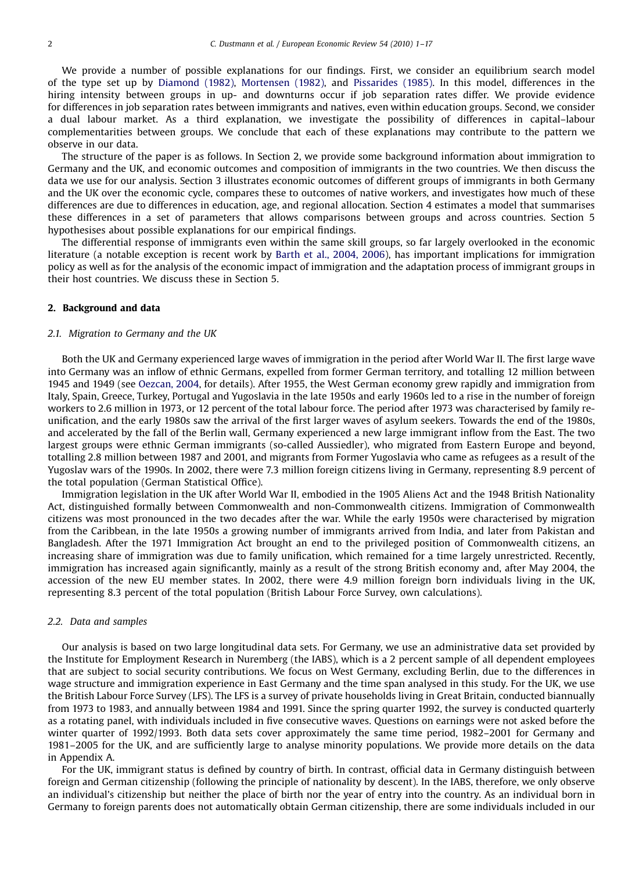We provide a number of possible explanations for our findings. First, we consider an equilibrium search model of the type set up by [Diamond \(1982\)](#page--1-0), [Mortensen \(1982\)](#page--1-0), and [Pissarides \(1985\).](#page--1-0) In this model, differences in the hiring intensity between groups in up- and downturns occur if job separation rates differ. We provide evidence for differences in job separation rates between immigrants and natives, even within education groups. Second, we consider a dual labour market. As a third explanation, we investigate the possibility of differences in capital–labour complementarities between groups. We conclude that each of these explanations may contribute to the pattern we observe in our data.

The structure of the paper is as follows. In Section 2, we provide some background information about immigration to Germany and the UK, and economic outcomes and composition of immigrants in the two countries. We then discuss the data we use for our analysis. Section 3 illustrates economic outcomes of different groups of immigrants in both Germany and the UK over the economic cycle, compares these to outcomes of native workers, and investigates how much of these differences are due to differences in education, age, and regional allocation. Section 4 estimates a model that summarises these differences in a set of parameters that allows comparisons between groups and across countries. Section 5 hypothesises about possible explanations for our empirical findings.

The differential response of immigrants even within the same skill groups, so far largely overlooked in the economic literature (a notable exception is recent work by [Barth et al., 2004, 2006](#page--1-0)), has important implications for immigration policy as well as for the analysis of the economic impact of immigration and the adaptation process of immigrant groups in their host countries. We discuss these in Section 5.

## 2. Background and data

### 2.1. Migration to Germany and the UK

Both the UK and Germany experienced large waves of immigration in the period after World War II. The first large wave into Germany was an inflow of ethnic Germans, expelled from former German territory, and totalling 12 million between 1945 and 1949 (see [Oezcan, 2004,](#page--1-0) for details). After 1955, the West German economy grew rapidly and immigration from Italy, Spain, Greece, Turkey, Portugal and Yugoslavia in the late 1950s and early 1960s led to a rise in the number of foreign workers to 2.6 million in 1973, or 12 percent of the total labour force. The period after 1973 was characterised by family reunification, and the early 1980s saw the arrival of the first larger waves of asylum seekers. Towards the end of the 1980s, and accelerated by the fall of the Berlin wall, Germany experienced a new large immigrant inflow from the East. The two largest groups were ethnic German immigrants (so-called Aussiedler), who migrated from Eastern Europe and beyond, totalling 2.8 million between 1987 and 2001, and migrants from Former Yugoslavia who came as refugees as a result of the Yugoslav wars of the 1990s. In 2002, there were 7.3 million foreign citizens living in Germany, representing 8.9 percent of the total population (German Statistical Office).

Immigration legislation in the UK after World War II, embodied in the 1905 Aliens Act and the 1948 British Nationality Act, distinguished formally between Commonwealth and non-Commonwealth citizens. Immigration of Commonwealth citizens was most pronounced in the two decades after the war. While the early 1950s were characterised by migration from the Caribbean, in the late 1950s a growing number of immigrants arrived from India, and later from Pakistan and Bangladesh. After the 1971 Immigration Act brought an end to the privileged position of Commonwealth citizens, an increasing share of immigration was due to family unification, which remained for a time largely unrestricted. Recently, immigration has increased again significantly, mainly as a result of the strong British economy and, after May 2004, the accession of the new EU member states. In 2002, there were 4.9 million foreign born individuals living in the UK, representing 8.3 percent of the total population (British Labour Force Survey, own calculations).

#### 2.2. Data and samples

Our analysis is based on two large longitudinal data sets. For Germany, we use an administrative data set provided by the Institute for Employment Research in Nuremberg (the IABS), which is a 2 percent sample of all dependent employees that are subject to social security contributions. We focus on West Germany, excluding Berlin, due to the differences in wage structure and immigration experience in East Germany and the time span analysed in this study. For the UK, we use the British Labour Force Survey (LFS). The LFS is a survey of private households living in Great Britain, conducted biannually from 1973 to 1983, and annually between 1984 and 1991. Since the spring quarter 1992, the survey is conducted quarterly as a rotating panel, with individuals included in five consecutive waves. Questions on earnings were not asked before the winter quarter of 1992/1993. Both data sets cover approximately the same time period, 1982–2001 for Germany and 1981–2005 for the UK, and are sufficiently large to analyse minority populations. We provide more details on the data in Appendix A.

For the UK, immigrant status is defined by country of birth. In contrast, official data in Germany distinguish between foreign and German citizenship (following the principle of nationality by descent). In the IABS, therefore, we only observe an individual's citizenship but neither the place of birth nor the year of entry into the country. As an individual born in Germany to foreign parents does not automatically obtain German citizenship, there are some individuals included in our